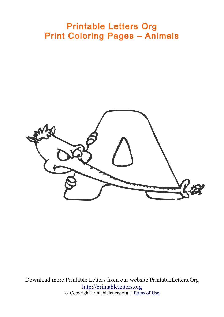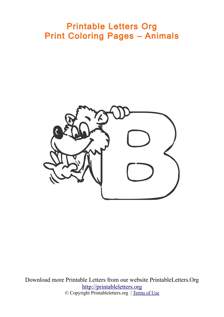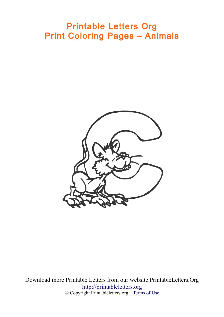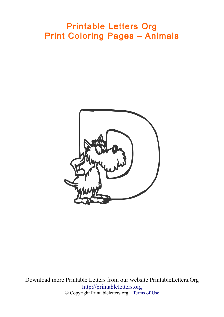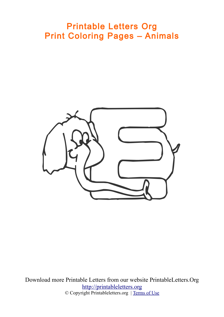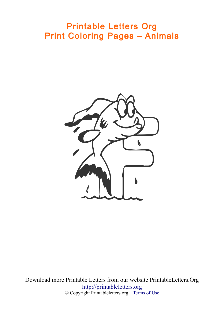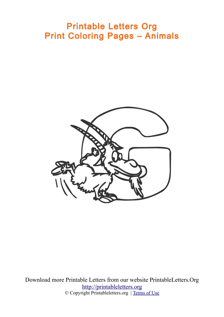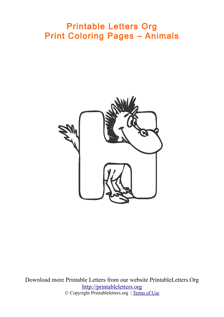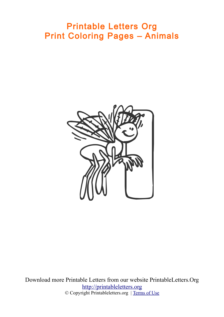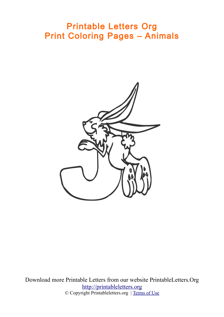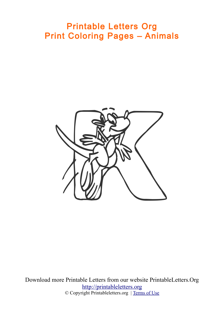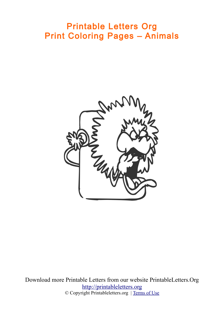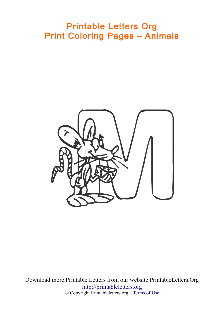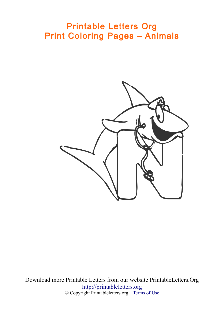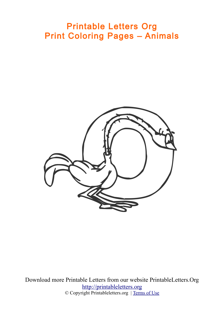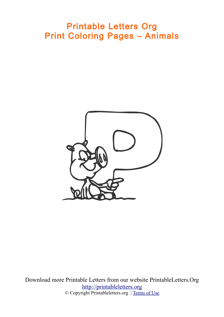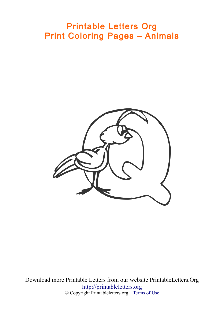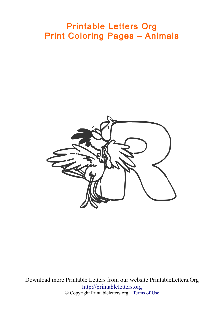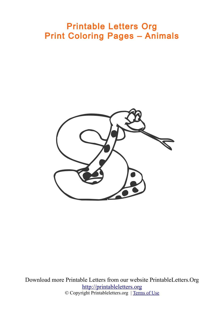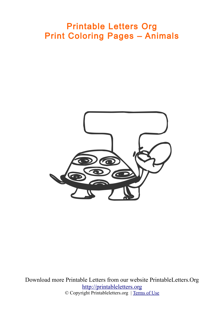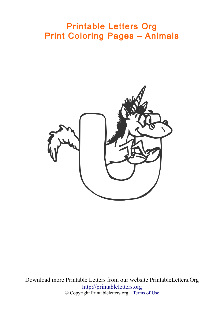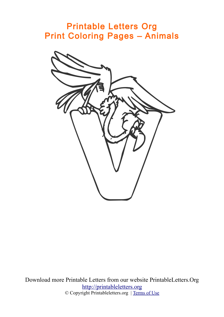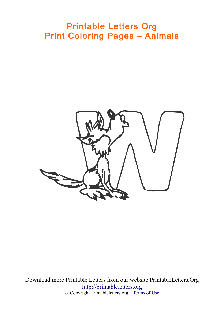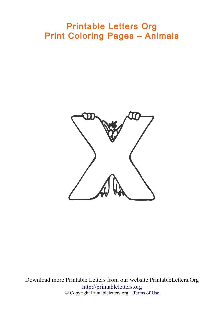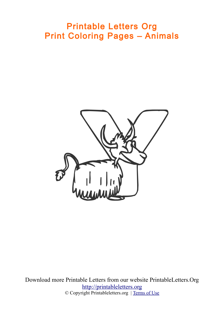